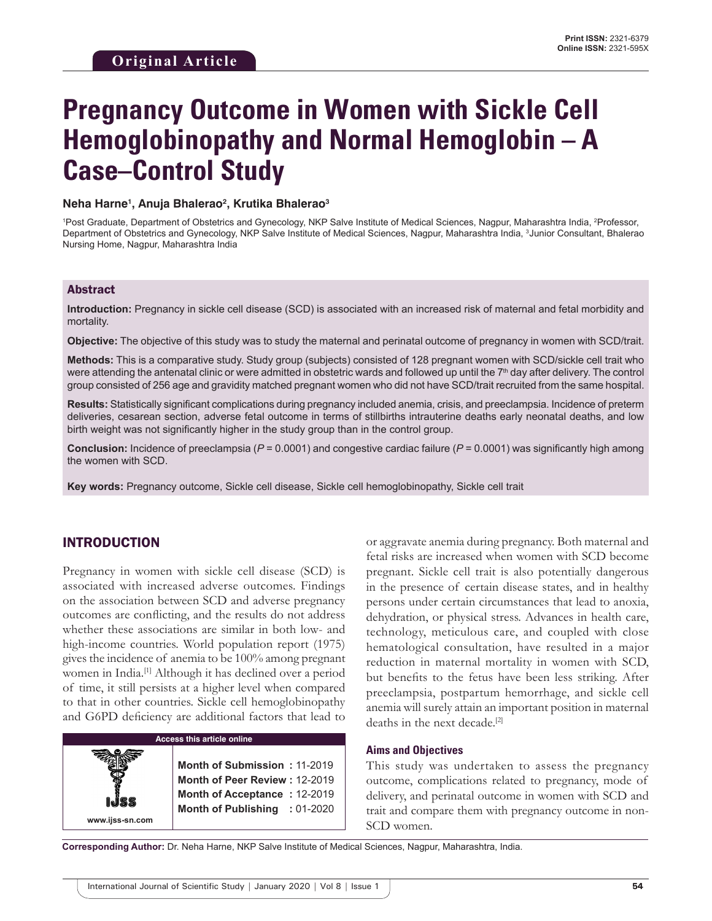# **Pregnancy Outcome in Women with Sickle Cell Hemoglobinopathy and Normal Hemoglobin – A Case–Control Study**

#### **Neha Harne1 , Anuja Bhalerao2 , Krutika Bhalerao3**

<sup>1</sup>Post Graduate, Department of Obstetrics and Gynecology, NKP Salve Institute of Medical Sciences, Nagpur, Maharashtra India, <sup>2</sup>Professor, Department of Obstetrics and Gynecology, NKP Salve Institute of Medical Sciences, Nagpur, Maharashtra India, <sup>3</sup>Junior Consultant, Bhalerao Nursing Home, Nagpur, Maharashtra India

#### Abstract

**Introduction:** Pregnancy in sickle cell disease (SCD) is associated with an increased risk of maternal and fetal morbidity and mortality.

**Objective:** The objective of this study was to study the maternal and perinatal outcome of pregnancy in women with SCD/trait.

**Methods:** This is a comparative study. Study group (subjects) consisted of 128 pregnant women with SCD/sickle cell trait who were attending the antenatal clinic or were admitted in obstetric wards and followed up until the 7<sup>th</sup> day after delivery. The control group consisted of 256 age and gravidity matched pregnant women who did not have SCD/trait recruited from the same hospital.

**Results:** Statistically significant complications during pregnancy included anemia, crisis, and preeclampsia. Incidence of preterm deliveries, cesarean section, adverse fetal outcome in terms of stillbirths intrauterine deaths early neonatal deaths, and low birth weight was not significantly higher in the study group than in the control group.

**Conclusion:** Incidence of preeclampsia (*P* = 0.0001) and congestive cardiac failure (*P* = 0.0001) was significantly high among the women with SCD.

**Key words:** Pregnancy outcome, Sickle cell disease, Sickle cell hemoglobinopathy, Sickle cell trait

# INTRODUCTION

Pregnancy in women with sickle cell disease (SCD) is associated with increased adverse outcomes. Findings on the association between SCD and adverse pregnancy outcomes are conflicting, and the results do not address whether these associations are similar in both low- and high-income countries. World population report (1975) gives the incidence of anemia to be 100% among pregnant women in India.[1] Although it has declined over a period of time, it still persists at a higher level when compared to that in other countries. Sickle cell hemoglobinopathy and G6PD deficiency are additional factors that lead to



or aggravate anemia during pregnancy. Both maternal and fetal risks are increased when women with SCD become pregnant. Sickle cell trait is also potentially dangerous in the presence of certain disease states, and in healthy persons under certain circumstances that lead to anoxia, dehydration, or physical stress. Advances in health care, technology, meticulous care, and coupled with close hematological consultation, have resulted in a major reduction in maternal mortality in women with SCD, but benefits to the fetus have been less striking. After preeclampsia, postpartum hemorrhage, and sickle cell anemia will surely attain an important position in maternal deaths in the next decade.<sup>[2]</sup>

#### **Aims and Objectives**

This study was undertaken to assess the pregnancy outcome, complications related to pregnancy, mode of delivery, and perinatal outcome in women with SCD and trait and compare them with pregnancy outcome in non-SCD women.

**Corresponding Author:** Dr. Neha Harne, NKP Salve Institute of Medical Sciences, Nagpur, Maharashtra, India.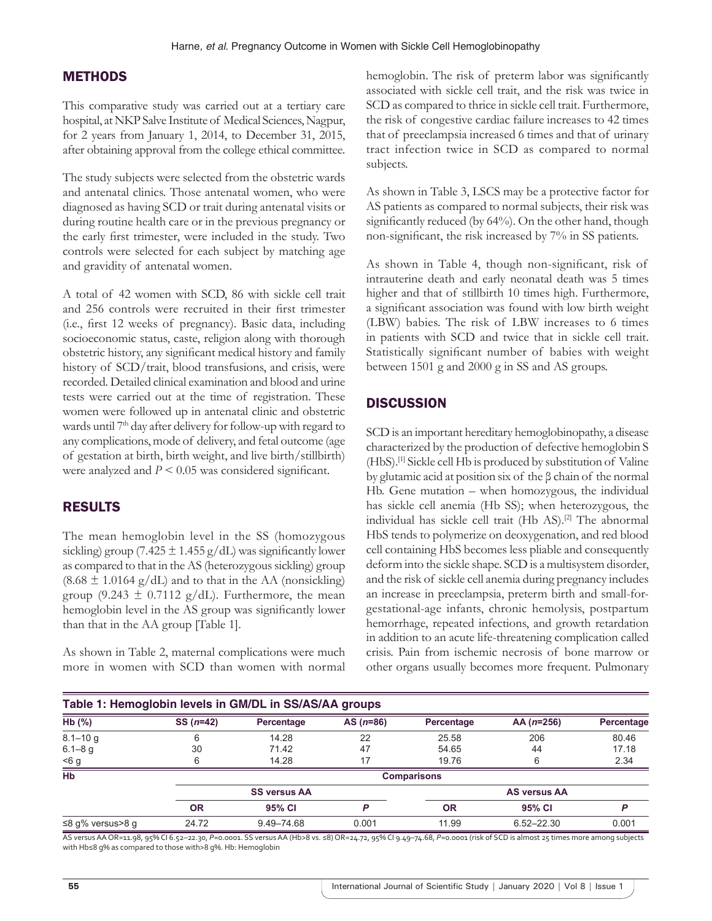# **METHODS**

This comparative study was carried out at a tertiary care hospital, at NKP Salve Institute of Medical Sciences, Nagpur, for 2 years from January 1, 2014, to December 31, 2015, after obtaining approval from the college ethical committee.

The study subjects were selected from the obstetric wards and antenatal clinics. Those antenatal women, who were diagnosed as having SCD or trait during antenatal visits or during routine health care or in the previous pregnancy or the early first trimester, were included in the study. Two controls were selected for each subject by matching age and gravidity of antenatal women.

A total of 42 women with SCD, 86 with sickle cell trait and 256 controls were recruited in their first trimester (i.e., first 12 weeks of pregnancy). Basic data, including socioeconomic status, caste, religion along with thorough obstetric history, any significant medical history and family history of SCD/trait, blood transfusions, and crisis, were recorded. Detailed clinical examination and blood and urine tests were carried out at the time of registration. These women were followed up in antenatal clinic and obstetric wards until 7<sup>th</sup> day after delivery for follow-up with regard to any complications, mode of delivery, and fetal outcome (age of gestation at birth, birth weight, and live birth/stillbirth) were analyzed and *P* < 0.05 was considered significant.

# RESULTS

The mean hemoglobin level in the SS (homozygous sickling) group (7.425  $\pm$  1.455 g/dL) was significantly lower as compared to that in the AS (heterozygous sickling) group  $(8.68 \pm 1.0164 \text{ g/dL})$  and to that in the AA (nonsickling) group (9.243  $\pm$  0.7112 g/dL). Furthermore, the mean hemoglobin level in the AS group was significantly lower than that in the AA group [Table 1].

As shown in Table 2, maternal complications were much more in women with SCD than women with normal hemoglobin. The risk of preterm labor was significantly associated with sickle cell trait, and the risk was twice in SCD as compared to thrice in sickle cell trait. Furthermore, the risk of congestive cardiac failure increases to 42 times that of preeclampsia increased 6 times and that of urinary tract infection twice in SCD as compared to normal subjects.

As shown in Table 3, LSCS may be a protective factor for AS patients as compared to normal subjects, their risk was significantly reduced (by 64%). On the other hand, though non-significant, the risk increased by 7% in SS patients.

As shown in Table 4, though non-significant, risk of intrauterine death and early neonatal death was 5 times higher and that of stillbirth 10 times high. Furthermore, a significant association was found with low birth weight (LBW) babies. The risk of LBW increases to 6 times in patients with SCD and twice that in sickle cell trait. Statistically significant number of babies with weight between 1501 g and 2000 g in SS and AS groups.

# **DISCUSSION**

SCD is an important hereditary hemoglobinopathy, a disease characterized by the production of defective hemoglobin S (HbS).[1] Sickle cell Hb is produced by substitution of Valine by glutamic acid at position six of the β chain of the normal Hb. Gene mutation – when homozygous, the individual has sickle cell anemia (Hb SS); when heterozygous, the individual has sickle cell trait (Hb AS).<sup>[2]</sup> The abnormal HbS tends to polymerize on deoxygenation, and red blood cell containing HbS becomes less pliable and consequently deform into the sickle shape. SCD is a multisystem disorder, and the risk of sickle cell anemia during pregnancy includes an increase in preeclampsia, preterm birth and small-forgestational-age infants, chronic hemolysis, postpartum hemorrhage, repeated infections, and growth retardation in addition to an acute life-threatening complication called crisis. Pain from ischemic necrosis of bone marrow or other organs usually becomes more frequent. Pulmonary

| Table 1: Hemoglobin levels in GM/DL in SS/AS/AA groups |            |                     |            |                    |                     |            |  |  |  |
|--------------------------------------------------------|------------|---------------------|------------|--------------------|---------------------|------------|--|--|--|
| $Hb$ (%)                                               | $SS(n=42)$ | Percentage          | $AS(n=86)$ | Percentage         | $AA(n=256)$         | Percentage |  |  |  |
| $8.1 - 10q$                                            |            | 14.28               | 22         | 25.58              | 206                 | 80.46      |  |  |  |
| $6.1 - 8$ g                                            | 30         | 71.42               | 47         | 54.65              | 44                  | 17.18      |  |  |  |
| 56 g                                                   | 6          | 14.28               | 17         | 19.76              | 6                   | 2.34       |  |  |  |
| Hb                                                     |            |                     |            | <b>Comparisons</b> |                     |            |  |  |  |
|                                                        |            | <b>SS versus AA</b> |            |                    | <b>AS versus AA</b> |            |  |  |  |
|                                                        | <b>OR</b>  | 95% CI              | P          | <b>OR</b>          | 95% CI              | D          |  |  |  |
| ≤8 g% versus>8 g                                       | 24.72      | 9.49-74.68          | 0.001      | 11.99              | $6.52 - 22.30$      | 0.001      |  |  |  |

AS versus AA OR=11.98, 95% CI 6.52–22.30, *P=*0.0001. SS versus AA (Hb>8 vs. ≤8) OR=24.72, 95% CI 9.49–74.68, *P=*0.0001 (risk of SCD is almost 25 times more among subjects with Hb≤8 g% as compared to those with>8 g%. Hb: Hemoglobin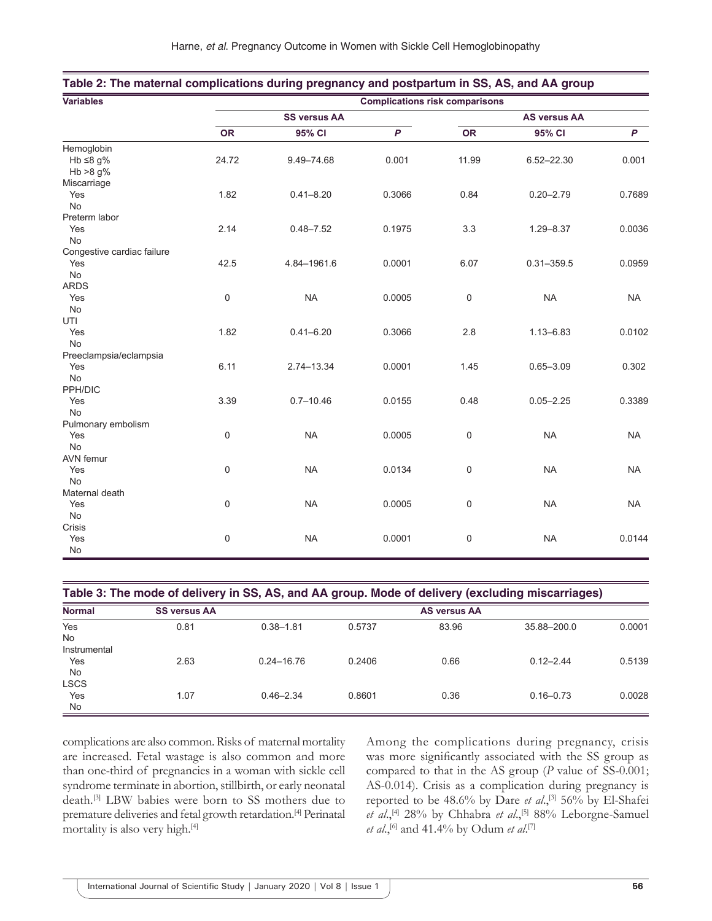|  | Harne, et al. Pregnancy Outcome in Women with Sickle Cell Hemoglobinopathy |  |  |  |  |  |  |
|--|----------------------------------------------------------------------------|--|--|--|--|--|--|
|--|----------------------------------------------------------------------------|--|--|--|--|--|--|

| <b>Variables</b>           | <b>Complications risk comparisons</b> |                |        |                     |                |                  |  |
|----------------------------|---------------------------------------|----------------|--------|---------------------|----------------|------------------|--|
|                            | <b>SS versus AA</b>                   |                |        | <b>AS versus AA</b> |                |                  |  |
|                            | <b>OR</b>                             | 95% CI         | P      | <b>OR</b>           | 95% CI         | $\boldsymbol{P}$ |  |
| Hemoglobin                 |                                       |                |        |                     |                |                  |  |
| Hb $\leq$ 8 g%             | 24.72                                 | $9.49 - 74.68$ | 0.001  | 11.99               | 6.52-22.30     | 0.001            |  |
| Hb $>8$ g%                 |                                       |                |        |                     |                |                  |  |
| Miscarriage                |                                       |                |        |                     |                |                  |  |
| Yes                        | 1.82                                  | $0.41 - 8.20$  | 0.3066 | 0.84                | $0.20 - 2.79$  | 0.7689           |  |
| No                         |                                       |                |        |                     |                |                  |  |
| Preterm labor              |                                       |                |        |                     |                |                  |  |
| Yes                        | 2.14                                  | $0.48 - 7.52$  | 0.1975 | 3.3                 | $1.29 - 8.37$  | 0.0036           |  |
| <b>No</b>                  |                                       |                |        |                     |                |                  |  |
| Congestive cardiac failure |                                       |                |        |                     |                |                  |  |
| Yes                        | 42.5                                  | 4.84-1961.6    | 0.0001 | 6.07                | $0.31 - 359.5$ | 0.0959           |  |
| No                         |                                       |                |        |                     |                |                  |  |
| <b>ARDS</b>                |                                       |                |        |                     |                |                  |  |
| Yes                        | 0                                     | <b>NA</b>      | 0.0005 | $\mathsf 0$         | <b>NA</b>      | <b>NA</b>        |  |
| No                         |                                       |                |        |                     |                |                  |  |
| UTI                        |                                       |                |        |                     |                |                  |  |
| Yes                        | 1.82                                  | $0.41 - 6.20$  | 0.3066 | 2.8                 | $1.13 - 6.83$  | 0.0102           |  |
| No                         |                                       |                |        |                     |                |                  |  |
| Preeclampsia/eclampsia     |                                       |                |        |                     |                |                  |  |
| Yes                        | 6.11                                  | 2.74-13.34     | 0.0001 | 1.45                | $0.65 - 3.09$  | 0.302            |  |
| <b>No</b>                  |                                       |                |        |                     |                |                  |  |
| PPH/DIC                    |                                       |                |        |                     |                |                  |  |
| Yes                        | 3.39                                  | $0.7 - 10.46$  | 0.0155 | 0.48                | $0.05 - 2.25$  | 0.3389           |  |
| No                         |                                       |                |        |                     |                |                  |  |
| Pulmonary embolism         |                                       |                |        |                     |                |                  |  |
| Yes                        | 0                                     | <b>NA</b>      | 0.0005 | $\mathsf 0$         | <b>NA</b>      | <b>NA</b>        |  |
| <b>No</b>                  |                                       |                |        |                     |                |                  |  |
| AVN femur                  |                                       |                |        |                     |                |                  |  |
| Yes                        | 0                                     | <b>NA</b>      | 0.0134 | $\mathsf 0$         | <b>NA</b>      | <b>NA</b>        |  |
| No                         |                                       |                |        |                     |                |                  |  |
| Maternal death             |                                       |                |        |                     |                |                  |  |
| Yes                        | 0                                     | <b>NA</b>      | 0.0005 | $\mathsf 0$         | <b>NA</b>      | <b>NA</b>        |  |
| No                         |                                       |                |        |                     |                |                  |  |
| Crisis                     |                                       |                |        |                     |                |                  |  |
| Yes                        | 0                                     | <b>NA</b>      | 0.0001 | $\pmb{0}$           | <b>NA</b>      | 0.0144           |  |
| $\mathsf{No}$              |                                       |                |        |                     |                |                  |  |

| Table 2: The maternal complications during pregnancy and postpartum in SS, AS, and AA group |  |
|---------------------------------------------------------------------------------------------|--|
|---------------------------------------------------------------------------------------------|--|

| Table 3: The mode of delivery in SS, AS, and AA group. Mode of delivery (excluding miscarriages) |                     |        |       |               |        |  |  |  |
|--------------------------------------------------------------------------------------------------|---------------------|--------|-------|---------------|--------|--|--|--|
| <b>SS versus AA</b>                                                                              | <b>AS versus AA</b> |        |       |               |        |  |  |  |
| 0.81                                                                                             | $0.38 - 1.81$       | 0.5737 | 83.96 | 35.88-200.0   | 0.0001 |  |  |  |
|                                                                                                  |                     |        |       |               |        |  |  |  |
|                                                                                                  |                     |        |       |               |        |  |  |  |
| 2.63                                                                                             | $0.24 - 16.76$      | 0.2406 | 0.66  | $0.12 - 2.44$ | 0.5139 |  |  |  |
|                                                                                                  |                     |        |       |               |        |  |  |  |
|                                                                                                  |                     |        |       |               |        |  |  |  |
| 1.07                                                                                             | $0.46 - 2.34$       | 0.8601 | 0.36  | $0.16 - 0.73$ | 0.0028 |  |  |  |
|                                                                                                  |                     |        |       |               |        |  |  |  |
|                                                                                                  |                     |        |       |               |        |  |  |  |

complications are also common. Risks of maternal mortality are increased. Fetal wastage is also common and more than one-third of pregnancies in a woman with sickle cell syndrome terminate in abortion, stillbirth, or early neonatal death.[3] LBW babies were born to SS mothers due to premature deliveries and fetal growth retardation.[4] Perinatal mortality is also very high.<sup>[4]</sup>

Among the complications during pregnancy, crisis was more significantly associated with the SS group as compared to that in the AS group (*P* value of SS-0.001; AS-0.014). Crisis as a complication during pregnancy is reported to be 48.6% by Dare *et al.*,<sup>[3]</sup> 56% by El-Shafei *et al*.,[4] 28% by Chhabra *et al*.,[5] 88% Leborgne-Samuel *et al*.,[6] and 41.4% by Odum *et al*. [7]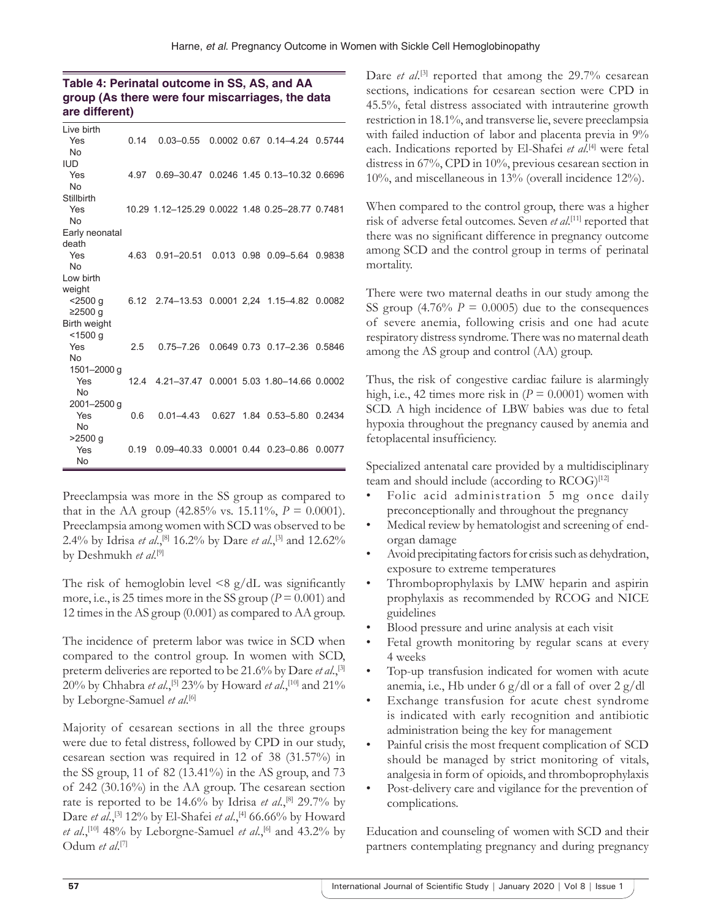## **Table 4: Perinatal outcome in SS, AS, and AA group (As there were four miscarriages, the data are different)**

| Live birth     |      |                                                 |  |                                        |        |
|----------------|------|-------------------------------------------------|--|----------------------------------------|--------|
| Yes            | 0.14 |                                                 |  | 0.03-0.55 0.0002 0.67 0.14-4.24 0.5744 |        |
| No             |      |                                                 |  |                                        |        |
| <b>IUD</b>     |      |                                                 |  |                                        |        |
| Yes            | 4.97 | 0.69-30.47 0.0246 1.45 0.13-10.32 0.6696        |  |                                        |        |
| <b>No</b>      |      |                                                 |  |                                        |        |
| Stillbirth     |      |                                                 |  |                                        |        |
| Yes            |      | 10.29 1.12-125.29 0.0022 1.48 0.25-28.77 0.7481 |  |                                        |        |
| <b>No</b>      |      |                                                 |  |                                        |        |
| Early neonatal |      |                                                 |  |                                        |        |
| death          |      |                                                 |  |                                        |        |
| Yes            | 4.63 | 0.91-20.51 0.013 0.98 0.09-5.64                 |  |                                        | 0.9838 |
| <b>No</b>      |      |                                                 |  |                                        |        |
| Low birth      |      |                                                 |  |                                        |        |
| weight         |      |                                                 |  |                                        |        |
| $<$ 2500 q     |      | 6.12 2.74-13.53 0.0001 2.24 1.15-4.82 0.0082    |  |                                        |        |
| $≥2500$ g      |      |                                                 |  |                                        |        |
| Birth weight   |      |                                                 |  |                                        |        |
| < 1500 g       |      |                                                 |  |                                        |        |
| Yes            | 2.5  | 0.75–7.26                                       |  | 0.0649 0.73 0.17-2.36 0.5846           |        |
| <b>No</b>      |      |                                                 |  |                                        |        |
| 1501-2000 g    |      |                                                 |  |                                        |        |
| Yes            |      | 12.4 4.21-37.47 0.0001 5.03 1.80-14.66 0.0002   |  |                                        |        |
| <b>No</b>      |      |                                                 |  |                                        |        |
| 2001-2500 g    |      |                                                 |  |                                        |        |
| Yes            | 0.6  | $0.01 - 4.43$                                   |  | 0.627 1.84 0.53-5.80                   | 0.2434 |
| <b>No</b>      |      |                                                 |  |                                        |        |
| $>2500$ q      |      |                                                 |  |                                        |        |
| Yes<br>No      | 0.19 | 0.09-40.33 0.0001 0.44 0.23-0.86                |  |                                        | 0.0077 |
|                |      |                                                 |  |                                        |        |

Preeclampsia was more in the SS group as compared to that in the AA group  $(42.85\% \text{ vs. } 15.11\%, P = 0.0001)$ . Preeclampsia among women with SCD was observed to be 2.4% by Idrisa *et al.*,<sup>[8]</sup> 16.2% by Dare *et al.*,<sup>[3]</sup> and 12.62% by Deshmukh et al.<sup>[9]</sup>

The risk of hemoglobin level  $\leq 8$  g/dL was significantly more, i.e., is 25 times more in the SS group ( $P = 0.001$ ) and 12 times in the AS group (0.001) as compared to AA group.

The incidence of preterm labor was twice in SCD when compared to the control group. In women with SCD, preterm deliveries are reported to be 21.6% by Dare *et al*.,[3] 20% by Chhabra *et al.*,<sup>[5]</sup> 23% by Howard *et al.*,<sup>[10]</sup> and 21% by Leborgne-Samuel et al.<sup>[6]</sup>

Majority of cesarean sections in all the three groups were due to fetal distress, followed by CPD in our study, cesarean section was required in 12 of 38 (31.57%) in the SS group, 11 of 82 (13.41%) in the AS group, and 73 of 242 (30.16%) in the AA group. The cesarean section rate is reported to be 14.6% by Idrisa *et al.*,<sup>[8]</sup> 29.7% by Dare *et al.*,<sup>[3]</sup> 12% by El-Shafei *et al.*,<sup>[4]</sup> 66.66% by Howard *et al.*,<sup>[10]</sup> 48% by Leborgne-Samuel *et al.*,<sup>[6]</sup> and 43.2% by Odum *et al*. [7]

Dare *et al.*<sup>[3]</sup> reported that among the 29.7% cesarean sections, indications for cesarean section were CPD in 45.5%, fetal distress associated with intrauterine growth restriction in 18.1%, and transverse lie, severe preeclampsia with failed induction of labor and placenta previa in 9% each. Indications reported by El-Shafei *et al*. [4] were fetal distress in 67%, CPD in 10%, previous cesarean section in 10%, and miscellaneous in 13% (overall incidence 12%).

When compared to the control group, there was a higher risk of adverse fetal outcomes. Seven *et al*. [11] reported that there was no significant difference in pregnancy outcome among SCD and the control group in terms of perinatal mortality.

There were two maternal deaths in our study among the SS group  $(4.76\% \text{ } P = 0.0005)$  due to the consequences of severe anemia, following crisis and one had acute respiratory distress syndrome. There was no maternal death among the AS group and control (AA) group.

Thus, the risk of congestive cardiac failure is alarmingly high, i.e., 42 times more risk in  $(P = 0.0001)$  women with SCD. A high incidence of LBW babies was due to fetal hypoxia throughout the pregnancy caused by anemia and fetoplacental insufficiency.

Specialized antenatal care provided by a multidisciplinary team and should include (according to RCOG)<sup>[12]</sup>

- Folic acid administration 5 mg once daily preconceptionally and throughout the pregnancy
- Medical review by hematologist and screening of endorgan damage
- Avoid precipitating factors for crisis such as dehydration, exposure to extreme temperatures
- Thromboprophylaxis by LMW heparin and aspirin prophylaxis as recommended by RCOG and NICE guidelines
- Blood pressure and urine analysis at each visit
- Fetal growth monitoring by regular scans at every 4 weeks
- Top-up transfusion indicated for women with acute anemia, i.e., Hb under 6 g/dl or a fall of over  $2$  g/dl
- Exchange transfusion for acute chest syndrome is indicated with early recognition and antibiotic administration being the key for management
- Painful crisis the most frequent complication of SCD should be managed by strict monitoring of vitals, analgesia in form of opioids, and thromboprophylaxis
- Post-delivery care and vigilance for the prevention of complications.

Education and counseling of women with SCD and their partners contemplating pregnancy and during pregnancy